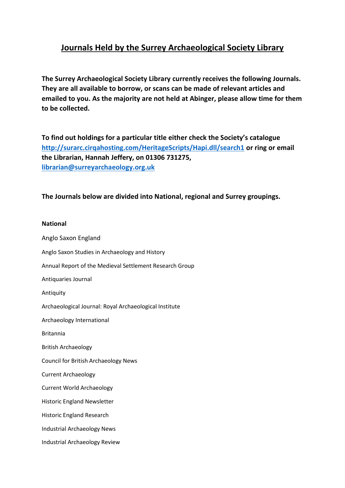## **Journals Held by the Surrey Archaeological Society Library**

**The Surrey Archaeological Society Library currently receives the following Journals. They are all available to borrow, or scans can be made of relevant articles and emailed to you. As the majority are not held at Abinger, please allow time for them to be collected.**

**To find out holdings for a particular title either check the Society's catalogue <http://surarc.cirqahosting.com/HeritageScripts/Hapi.dll/search1> or ring or email the Librarian, Hannah Jeffery, on 01306 731275, [librarian@surreyarchaeology.org.uk](mailto:librarian@surreyarchaeology.org.uk)**

**The Journals below are divided into National, regional and Surrey groupings.**

## **National**

Anglo Saxon England Anglo Saxon Studies in Archaeology and History Annual Report of the Medieval Settlement Research Group Antiquaries Journal Antiquity Archaeological Journal: Royal Archaeological Institute Archaeology International Britannia British Archaeology Council for British Archaeology News Current Archaeology Current World Archaeology Historic England Newsletter Historic England Research Industrial Archaeology News Industrial Archaeology Review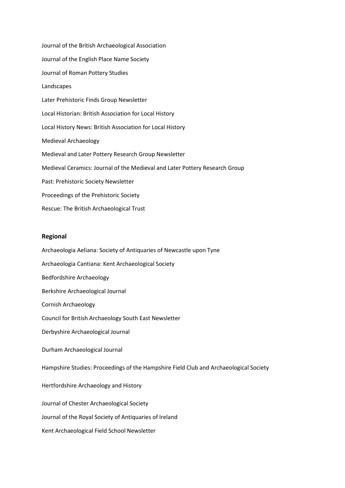Journal of the British Archaeological Association Journal of the English Place Name Society Journal of Roman Pottery Studies Landscapes Later Prehistoric Finds Group Newsletter Local Historian: British Association for Local History Local History News: British Association for Local History Medieval Archaeology Medieval and Later Pottery Research Group Newsletter Medieval Ceramics: Journal of the Medieval and Later Pottery Research Group Past: Prehistoric Society Newsletter Proceedings of the Prehistoric Society Rescue: The British Archaeological Trust

## **Regional**

Archaeologia Aeliana: Society of Antiquaries of Newcastle upon Tyne Archaeologia Cantiana: Kent Archaeological Society Bedfordshire Archaeology Berkshire Archaeological Journal Cornish Archaeology Council for British Archaeology South East Newsletter Derbyshire Archaeological Journal Durham Archaeological Journal Hampshire Studies: Proceedings of the Hampshire Field Club and Archaeological Society Hertfordshire Archaeology and History Journal of Chester Archaeological Society Journal of the Royal Society of Antiquaries of Ireland Kent Archaeological Field School Newsletter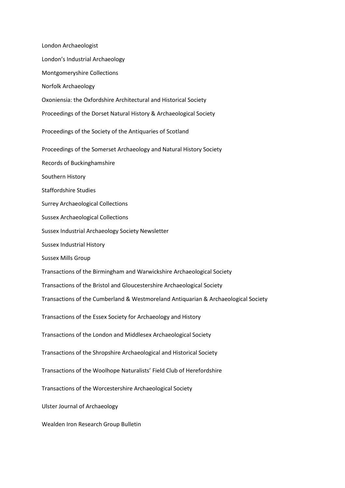London Archaeologist London's Industrial Archaeology Montgomeryshire Collections Norfolk Archaeology Oxoniensia: the Oxfordshire Architectural and Historical Society Proceedings of the Dorset Natural History & Archaeological Society Proceedings of the Society of the Antiquaries of Scotland Proceedings of the Somerset Archaeology and Natural History Society Records of Buckinghamshire Southern History Staffordshire Studies Surrey Archaeological Collections Sussex Archaeological Collections Sussex Industrial Archaeology Society Newsletter Sussex Industrial History Sussex Mills Group Transactions of the Birmingham and Warwickshire Archaeological Society Transactions of the Bristol and Gloucestershire Archaeological Society Transactions of the Cumberland & Westmoreland Antiquarian & Archaeological Society Transactions of the Essex Society for Archaeology and History Transactions of the London and Middlesex Archaeological Society Transactions of the Shropshire Archaeological and Historical Society Transactions of the Woolhope Naturalists' Field Club of Herefordshire Transactions of the Worcestershire Archaeological Society Ulster Journal of Archaeology Wealden Iron Research Group Bulletin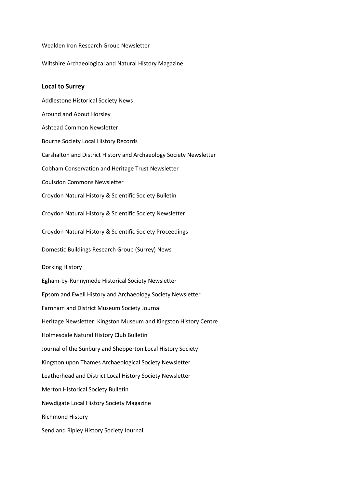Wealden Iron Research Group Newsletter

Wiltshire Archaeological and Natural History Magazine

## **Local to Surrey**

Addlestone Historical Society News Around and About Horsley Ashtead Common Newsletter Bourne Society Local History Records Carshalton and District History and Archaeology Society Newsletter Cobham Conservation and Heritage Trust Newsletter Coulsdon Commons Newsletter Croydon Natural History & Scientific Society Bulletin Croydon Natural History & Scientific Society Newsletter Croydon Natural History & Scientific Society Proceedings Domestic Buildings Research Group (Surrey) News Dorking History Egham-by-Runnymede Historical Society Newsletter Epsom and Ewell History and Archaeology Society Newsletter Farnham and District Museum Society Journal Heritage Newsletter: Kingston Museum and Kingston History Centre Holmesdale Natural History Club Bulletin Journal of the Sunbury and Shepperton Local History Society Kingston upon Thames Archaeological Society Newsletter Leatherhead and District Local History Society Newsletter Merton Historical Society Bulletin Newdigate Local History Society Magazine Richmond History Send and Ripley History Society Journal